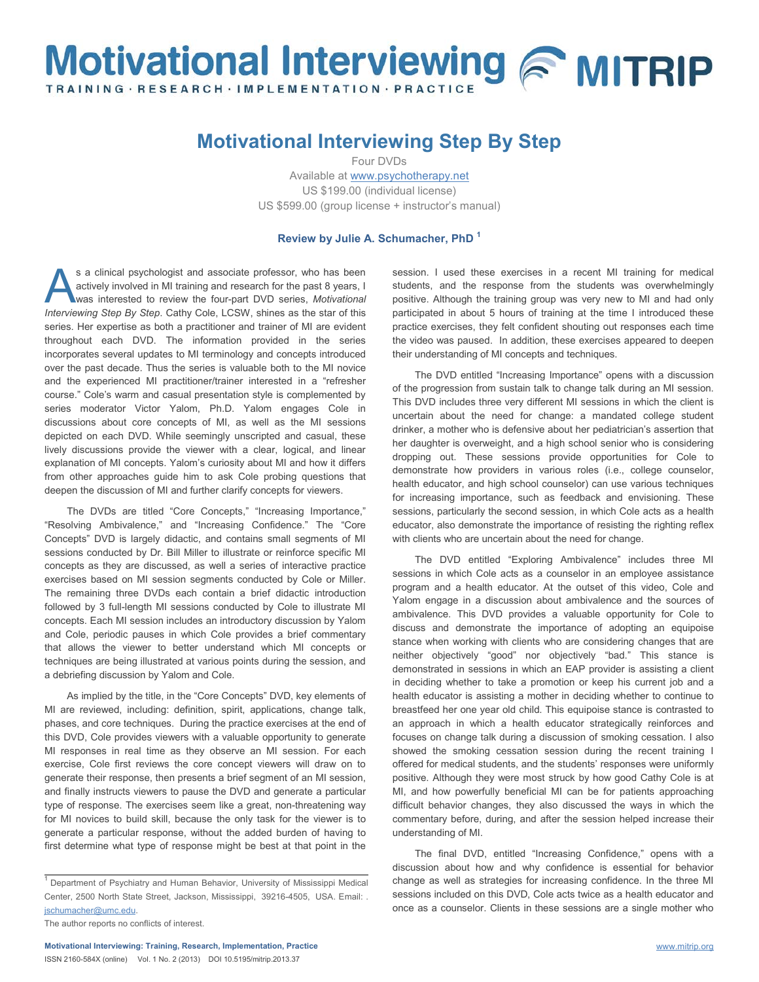## Motivational Interviewing & MITRIP TRAINING · RESEARCH · IMPLEMENTATION · PRACTI

## **Motivational Interviewing Step By Step**

Four DVDs

Available a[t www.psychotherapy.net](http://www.psychotherapy.net/) US \$199.00 (individual license) US \$599.00 (group license + instructor's manual)

## **Review by Julie A. Schumacher, PhD 1**

s a clinical psychologist and associate professor, who has been actively involved in MI training and research for the past 8 years, I was interested to review the four-part DVD series, *Motivational*  **ICOLE IS a clinical psychologist and associate professor, who has been actively involved in MI training and research for the past 8 years, I was interested to review the four-part DVD series,** *Motivational Interviewing St* series. Her expertise as both a practitioner and trainer of MI are evident throughout each DVD. The information provided in the series incorporates several updates to MI terminology and concepts introduced over the past decade. Thus the series is valuable both to the MI novice and the experienced MI practitioner/trainer interested in a "refresher course." Cole's warm and casual presentation style is complemented by series moderator Victor Yalom, Ph.D. Yalom engages Cole in discussions about core concepts of MI, as well as the MI sessions depicted on each DVD. While seemingly unscripted and casual, these lively discussions provide the viewer with a clear, logical, and linear explanation of MI concepts. Yalom's curiosity about MI and how it differs from other approaches guide him to ask Cole probing questions that deepen the discussion of MI and further clarify concepts for viewers.

The DVDs are titled "Core Concepts," "Increasing Importance," "Resolving Ambivalence," and "Increasing Confidence." The "Core Concepts" DVD is largely didactic, and contains small segments of MI sessions conducted by Dr. Bill Miller to illustrate or reinforce specific MI concepts as they are discussed, as well a series of interactive practice exercises based on MI session segments conducted by Cole or Miller. The remaining three DVDs each contain a brief didactic introduction followed by 3 full-length MI sessions conducted by Cole to illustrate MI concepts. Each MI session includes an introductory discussion by Yalom and Cole, periodic pauses in which Cole provides a brief commentary that allows the viewer to better understand which MI concepts or techniques are being illustrated at various points during the session, and a debriefing discussion by Yalom and Cole.

As implied by the title, in the "Core Concepts" DVD, key elements of MI are reviewed, including: definition, spirit, applications, change talk, phases, and core techniques. During the practice exercises at the end of this DVD, Cole provides viewers with a valuable opportunity to generate MI responses in real time as they observe an MI session. For each exercise, Cole first reviews the core concept viewers will draw on to generate their response, then presents a brief segment of an MI session, and finally instructs viewers to pause the DVD and generate a particular type of response. The exercises seem like a great, non-threatening way for MI novices to build skill, because the only task for the viewer is to generate a particular response, without the added burden of having to first determine what type of response might be best at that point in the

session. I used these exercises in a recent MI training for medical students, and the response from the students was overwhelmingly positive. Although the training group was very new to MI and had only participated in about 5 hours of training at the time I introduced these practice exercises, they felt confident shouting out responses each time the video was paused. In addition, these exercises appeared to deepen their understanding of MI concepts and techniques.

The DVD entitled "Increasing Importance" opens with a discussion of the progression from sustain talk to change talk during an MI session. This DVD includes three very different MI sessions in which the client is uncertain about the need for change: a mandated college student drinker, a mother who is defensive about her pediatrician's assertion that her daughter is overweight, and a high school senior who is considering dropping out. These sessions provide opportunities for Cole to demonstrate how providers in various roles (i.e., college counselor, health educator, and high school counselor) can use various techniques for increasing importance, such as feedback and envisioning. These sessions, particularly the second session, in which Cole acts as a health educator, also demonstrate the importance of resisting the righting reflex with clients who are uncertain about the need for change.

The DVD entitled "Exploring Ambivalence" includes three MI sessions in which Cole acts as a counselor in an employee assistance program and a health educator. At the outset of this video, Cole and Yalom engage in a discussion about ambivalence and the sources of ambivalence. This DVD provides a valuable opportunity for Cole to discuss and demonstrate the importance of adopting an equipoise stance when working with clients who are considering changes that are neither objectively "good" nor objectively "bad." This stance is demonstrated in sessions in which an EAP provider is assisting a client in deciding whether to take a promotion or keep his current job and a health educator is assisting a mother in deciding whether to continue to breastfeed her one year old child. This equipoise stance is contrasted to an approach in which a health educator strategically reinforces and focuses on change talk during a discussion of smoking cessation. I also showed the smoking cessation session during the recent training I offered for medical students, and the students' responses were uniformly positive. Although they were most struck by how good Cathy Cole is at MI, and how powerfully beneficial MI can be for patients approaching difficult behavior changes, they also discussed the ways in which the commentary before, during, and after the session helped increase their understanding of MI.

The final DVD, entitled "Increasing Confidence," opens with a discussion about how and why confidence is essential for behavior change as well as strategies for increasing confidence. In the three MI sessions included on this DVD, Cole acts twice as a health educator and once as a counselor. Clients in these sessions are a single mother who

 $1$  Department of Psychiatry and Human Behavior, University of Mississippi Medical Center, 2500 North State Street, Jackson, Mississippi, 39216-4505, USA. Email: . [jschumacher@umc.edu.](mailto:jschumacher@umc.edu)

The author reports no conflicts of interest.